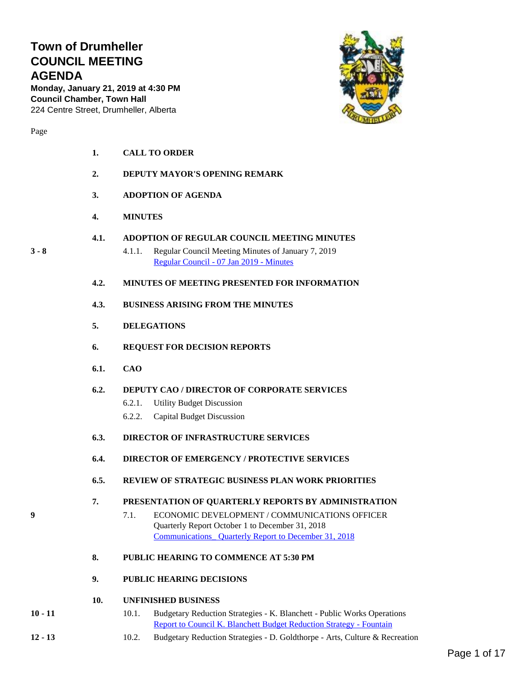## **Town of Drumheller COUNCIL MEETING AGENDA**

**Monday, January 21, 2019 at 4:30 PM Council Chamber, Town Hall** 224 Centre Street, Drumheller, Alberta



- **1. CALL TO ORDER**
	- **2. DEPUTY MAYOR'S OPENING REMARK**
	- **3. ADOPTION OF AGENDA**
	- **4. MINUTES**
	- **4.1. ADOPTION OF REGULAR COUNCIL MEETING MINUTES**
- **3 - 8** 4.1.1. Regular Council Meeting Minutes of January 7, 2019 [Regular Council -](#page-2-0) 07 Jan 2019 - Minutes
	- **4.2. MINUTES OF MEETING PRESENTED FOR INFORMATION**
	- **4.3. BUSINESS ARISING FROM THE MINUTES**
	- **5. DELEGATIONS**
	- **6. REQUEST FOR DECISION REPORTS**
	- **6.1. CAO**
	- **6.2. DEPUTY CAO / DIRECTOR OF CORPORATE SERVICES**
		- 6.2.1. Utility Budget Discussion
		- 6.2.2. Capital Budget Discussion
	- **6.3. DIRECTOR OF INFRASTRUCTURE SERVICES**
	- **6.4. DIRECTOR OF EMERGENCY / PROTECTIVE SERVICES**
	- **6.5. REVIEW OF STRATEGIC BUSINESS PLAN WORK PRIORITIES**

#### **7. PRESENTATION OF QUARTERLY REPORTS BY ADMINISTRATION**

- **9** 7.1. ECONOMIC DEVELOPMENT / COMMUNICATIONS OFFICER Quarterly Report October 1 to December 31, 2018 [Communications\\_ Quarterly Report to December 31, 2018](#page-8-0)
	- **8. PUBLIC HEARING TO COMMENCE AT 5:30 PM**
	- **9. PUBLIC HEARING DECISIONS**
	- **10. UNFINISHED BUSINESS**
- **10 - 11** 10.1. Budgetary Reduction Strategies K. Blanchett Public Works Operations [Report to Council K. Blanchett Budget Reduction Strategy -](#page-9-0) Fountain
- **12 - 13** 10.2. Budgetary Reduction Strategies D. Goldthorpe Arts, Culture & Recreation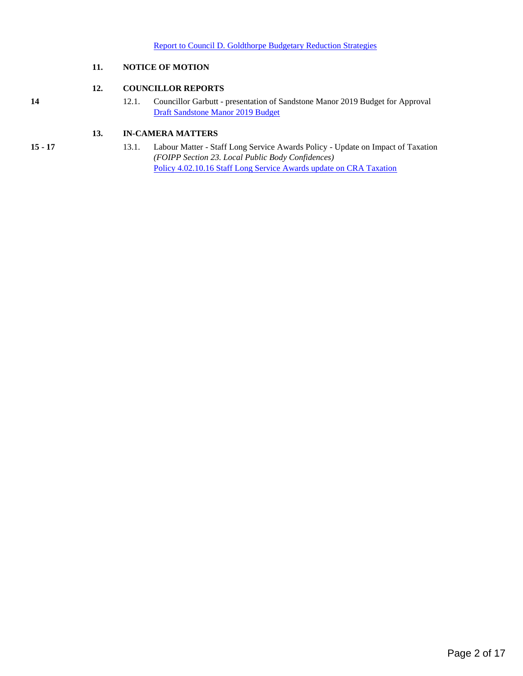#### **11. NOTICE OF MOTION**

#### **12. COUNCILLOR REPORTS**

**14** 12.1. Councillor Garbutt - presentation of Sandstone Manor 2019 Budget for Approval [Draft Sandstone Manor 2019 Budget](#page-13-0)

#### **13. IN-CAMERA MATTERS**

- 
- **15 - 17** 13.1. Labour Matter Staff Long Service Awards Policy Update on Impact of Taxation *(FOIPP Section 23. Local Public Body Confidences)* [Policy 4.02.10.16 Staff Long Service Awards update on CRA Taxation](#page-14-0)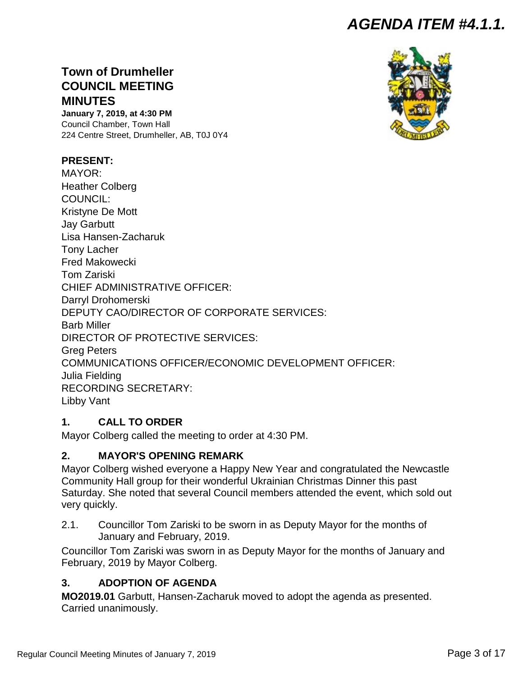## *AGENDA ITEM #4.1.1.*

## <span id="page-2-0"></span>**Town of Drumheller COUNCIL MEETING MINUTES**

**January 7, 2019, at 4:30 PM** Council Chamber, Town Hall 224 Centre Street, Drumheller, AB, T0J 0Y4

## **PRESENT:**

MAYOR: Heather Colberg COUNCIL: Kristyne De Mott Jay Garbutt Lisa Hansen-Zacharuk Tony Lacher Fred Makowecki Tom Zariski CHIEF ADMINISTRATIVE OFFICER: Darryl Drohomerski DEPUTY CAO/DIRECTOR OF CORPORATE SERVICES: Barb Miller DIRECTOR OF PROTECTIVE SERVICES: Greg Peters COMMUNICATIONS OFFICER/ECONOMIC DEVELOPMENT OFFICER: Julia Fielding RECORDING SECRETARY: Libby Vant

## **1. CALL TO ORDER**

Mayor Colberg called the meeting to order at 4:30 PM.

## **2. MAYOR'S OPENING REMARK**

Mayor Colberg wished everyone a Happy New Year and congratulated the Newcastle Community Hall group for their wonderful Ukrainian Christmas Dinner this past Saturday. She noted that several Council members attended the event, which sold out very quickly.

2.1. Councillor Tom Zariski to be sworn in as Deputy Mayor for the months of January and February, 2019.

Councillor Tom Zariski was sworn in as Deputy Mayor for the months of January and February, 2019 by Mayor Colberg.

## **3. ADOPTION OF AGENDA**

**MO2019.01** Garbutt, Hansen-Zacharuk moved to adopt the agenda as presented. Carried unanimously.

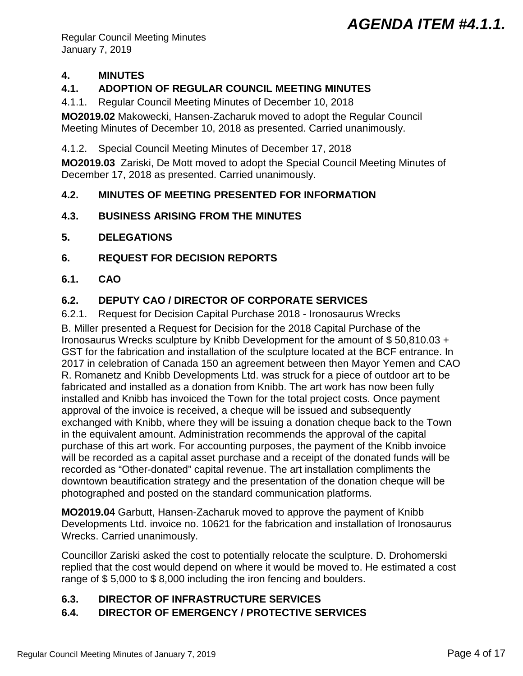# *AGENDA ITEM #4.1.1.*

Regular Council Meeting Minutes January 7, 2019

## **4. MINUTES**

## **4.1. ADOPTION OF REGULAR COUNCIL MEETING MINUTES**

4.1.1. Regular Council Meeting Minutes of December 10, 2018

**MO2019.02** Makowecki, Hansen-Zacharuk moved to adopt the Regular Council Meeting Minutes of December 10, 2018 as presented. Carried unanimously.

## 4.1.2. Special Council Meeting Minutes of December 17, 2018

**MO2019.03** Zariski, De Mott moved to adopt the Special Council Meeting Minutes of December 17, 2018 as presented. Carried unanimously.

## **4.2. MINUTES OF MEETING PRESENTED FOR INFORMATION**

## **4.3. BUSINESS ARISING FROM THE MINUTES**

- **5. DELEGATIONS**
- **6. REQUEST FOR DECISION REPORTS**
- **6.1. CAO**

## **6.2. DEPUTY CAO / DIRECTOR OF CORPORATE SERVICES**

6.2.1. Request for Decision Capital Purchase 2018 - Ironosaurus Wrecks

B. Miller presented a Request for Decision for the 2018 Capital Purchase of the Ironosaurus Wrecks sculpture by Knibb Development for the amount of \$ 50,810.03 + GST for the fabrication and installation of the sculpture located at the BCF entrance. In 2017 in celebration of Canada 150 an agreement between then Mayor Yemen and CAO R. Romanetz and Knibb Developments Ltd. was struck for a piece of outdoor art to be fabricated and installed as a donation from Knibb. The art work has now been fully installed and Knibb has invoiced the Town for the total project costs. Once payment approval of the invoice is received, a cheque will be issued and subsequently exchanged with Knibb, where they will be issuing a donation cheque back to the Town in the equivalent amount. Administration recommends the approval of the capital purchase of this art work. For accounting purposes, the payment of the Knibb invoice will be recorded as a capital asset purchase and a receipt of the donated funds will be recorded as "Other-donated" capital revenue. The art installation compliments the downtown beautification strategy and the presentation of the donation cheque will be photographed and posted on the standard communication platforms.

**MO2019.04** Garbutt, Hansen-Zacharuk moved to approve the payment of Knibb Developments Ltd. invoice no. 10621 for the fabrication and installation of Ironosaurus Wrecks. Carried unanimously.

Councillor Zariski asked the cost to potentially relocate the sculpture. D. Drohomerski replied that the cost would depend on where it would be moved to. He estimated a cost range of \$5,000 to \$8,000 including the iron fencing and boulders.

## **6.3. DIRECTOR OF INFRASTRUCTURE SERVICES**

## **6.4. DIRECTOR OF EMERGENCY / PROTECTIVE SERVICES**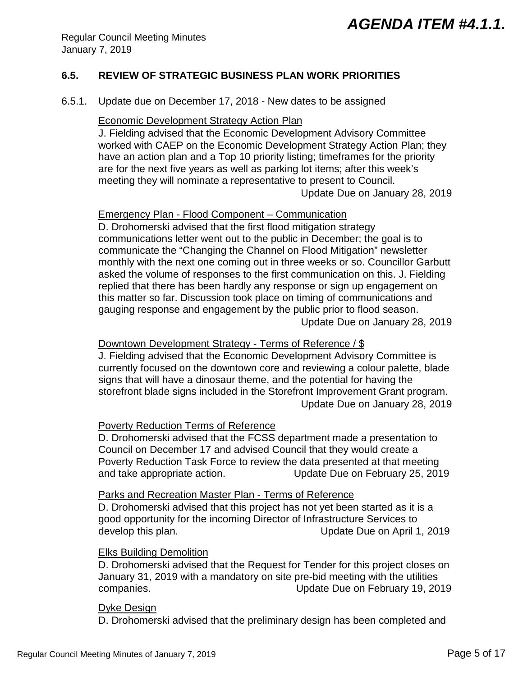## **6.5. REVIEW OF STRATEGIC BUSINESS PLAN WORK PRIORITIES**

6.5.1. Update due on December 17, 2018 - New dates to be assigned

#### **Economic Development Strategy Action Plan**

J. Fielding advised that the Economic Development Advisory Committee worked with CAEP on the Economic Development Strategy Action Plan; they have an action plan and a Top 10 priority listing; timeframes for the priority are for the next five years as well as parking lot items; after this week's meeting they will nominate a representative to present to Council. Update Due on January 28, 2019

#### Emergency Plan - Flood Component – Communication

D. Drohomerski advised that the first flood mitigation strategy communications letter went out to the public in December; the goal is to communicate the "Changing the Channel on Flood Mitigation" newsletter monthly with the next one coming out in three weeks or so. Councillor Garbutt asked the volume of responses to the first communication on this. J. Fielding replied that there has been hardly any response or sign up engagement on this matter so far. Discussion took place on timing of communications and gauging response and engagement by the public prior to flood season. Update Due on January 28, 2019

### Downtown Development Strategy - Terms of Reference / \$

J. Fielding advised that the Economic Development Advisory Committee is currently focused on the downtown core and reviewing a colour palette, blade signs that will have a dinosaur theme, and the potential for having the storefront blade signs included in the Storefront Improvement Grant program. Update Due on January 28, 2019

#### Poverty Reduction Terms of Reference

D. Drohomerski advised that the FCSS department made a presentation to Council on December 17 and advised Council that they would create a Poverty Reduction Task Force to review the data presented at that meeting and take appropriate action. Update Due on February 25, 2019

#### Parks and Recreation Master Plan - Terms of Reference

D. Drohomerski advised that this project has not yet been started as it is a good opportunity for the incoming Director of Infrastructure Services to develop this plan. Update Due on April 1, 2019

#### Elks Building Demolition

D. Drohomerski advised that the Request for Tender for this project closes on January 31, 2019 with a mandatory on site pre-bid meeting with the utilities companies. Update Due on February 19, 2019

#### Dyke Design

D. Drohomerski advised that the preliminary design has been completed and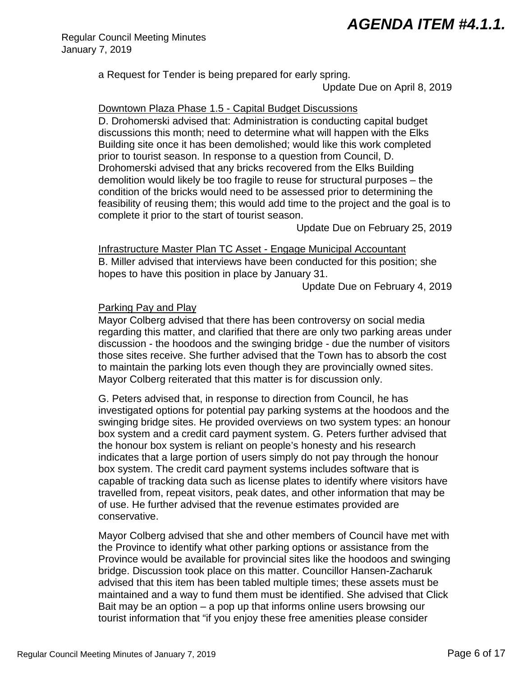## *AGENDA ITEM #4.1.1.*

Regular Council Meeting Minutes January 7, 2019

a Request for Tender is being prepared for early spring.

Update Due on April 8, 2019

Downtown Plaza Phase 1.5 - Capital Budget Discussions

D. Drohomerski advised that: Administration is conducting capital budget discussions this month; need to determine what will happen with the Elks Building site once it has been demolished; would like this work completed prior to tourist season. In response to a question from Council, D. Drohomerski advised that any bricks recovered from the Elks Building demolition would likely be too fragile to reuse for structural purposes – the condition of the bricks would need to be assessed prior to determining the feasibility of reusing them; this would add time to the project and the goal is to complete it prior to the start of tourist season.

Update Due on February 25, 2019

Infrastructure Master Plan TC Asset - Engage Municipal Accountant B. Miller advised that interviews have been conducted for this position; she hopes to have this position in place by January 31.

Update Due on February 4, 2019

## Parking Pay and Play

Mayor Colberg advised that there has been controversy on social media regarding this matter, and clarified that there are only two parking areas under discussion - the hoodoos and the swinging bridge - due the number of visitors those sites receive. She further advised that the Town has to absorb the cost to maintain the parking lots even though they are provincially owned sites. Mayor Colberg reiterated that this matter is for discussion only.

G. Peters advised that, in response to direction from Council, he has investigated options for potential pay parking systems at the hoodoos and the swinging bridge sites. He provided overviews on two system types: an honour box system and a credit card payment system. G. Peters further advised that the honour box system is reliant on people's honesty and his research indicates that a large portion of users simply do not pay through the honour box system. The credit card payment systems includes software that is capable of tracking data such as license plates to identify where visitors have travelled from, repeat visitors, peak dates, and other information that may be of use. He further advised that the revenue estimates provided are conservative.

Mayor Colberg advised that she and other members of Council have met with the Province to identify what other parking options or assistance from the Province would be available for provincial sites like the hoodoos and swinging bridge. Discussion took place on this matter. Councillor Hansen-Zacharuk advised that this item has been tabled multiple times; these assets must be maintained and a way to fund them must be identified. She advised that Click Bait may be an option – a pop up that informs online users browsing our tourist information that "if you enjoy these free amenities please consider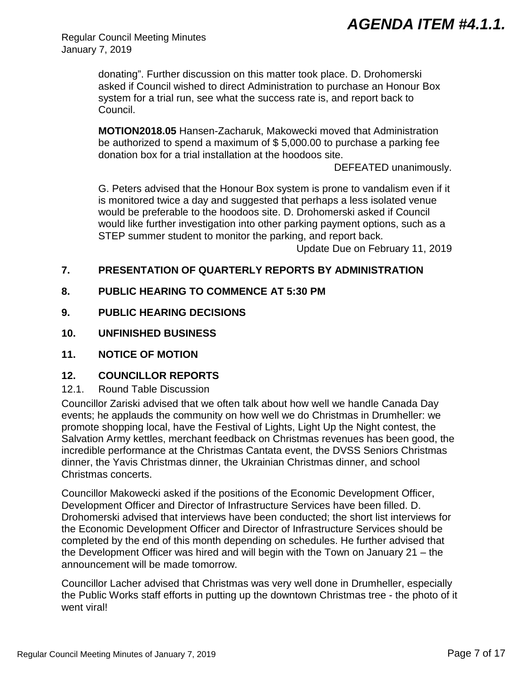Regular Council Meeting Minutes January 7, 2019

> donating". Further discussion on this matter took place. D. Drohomerski asked if Council wished to direct Administration to purchase an Honour Box system for a trial run, see what the success rate is, and report back to Council.

> **MOTION2018.05** Hansen-Zacharuk, Makowecki moved that Administration be authorized to spend a maximum of \$ 5,000.00 to purchase a parking fee donation box for a trial installation at the hoodoos site.

> > DEFEATED unanimously.

G. Peters advised that the Honour Box system is prone to vandalism even if it is monitored twice a day and suggested that perhaps a less isolated venue would be preferable to the hoodoos site. D. Drohomerski asked if Council would like further investigation into other parking payment options, such as a STEP summer student to monitor the parking, and report back.

Update Due on February 11, 2019

## **7. PRESENTATION OF QUARTERLY REPORTS BY ADMINISTRATION**

- **8. PUBLIC HEARING TO COMMENCE AT 5:30 PM**
- **9. PUBLIC HEARING DECISIONS**
- **10. UNFINISHED BUSINESS**
- **11. NOTICE OF MOTION**

## **12. COUNCILLOR REPORTS**

12.1. Round Table Discussion

Councillor Zariski advised that we often talk about how well we handle Canada Day events; he applauds the community on how well we do Christmas in Drumheller: we promote shopping local, have the Festival of Lights, Light Up the Night contest, the Salvation Army kettles, merchant feedback on Christmas revenues has been good, the incredible performance at the Christmas Cantata event, the DVSS Seniors Christmas dinner, the Yavis Christmas dinner, the Ukrainian Christmas dinner, and school Christmas concerts.

Councillor Makowecki asked if the positions of the Economic Development Officer, Development Officer and Director of Infrastructure Services have been filled. D. Drohomerski advised that interviews have been conducted; the short list interviews for the Economic Development Officer and Director of Infrastructure Services should be completed by the end of this month depending on schedules. He further advised that the Development Officer was hired and will begin with the Town on January 21 – the announcement will be made tomorrow.

Councillor Lacher advised that Christmas was very well done in Drumheller, especially the Public Works staff efforts in putting up the downtown Christmas tree - the photo of it went viral!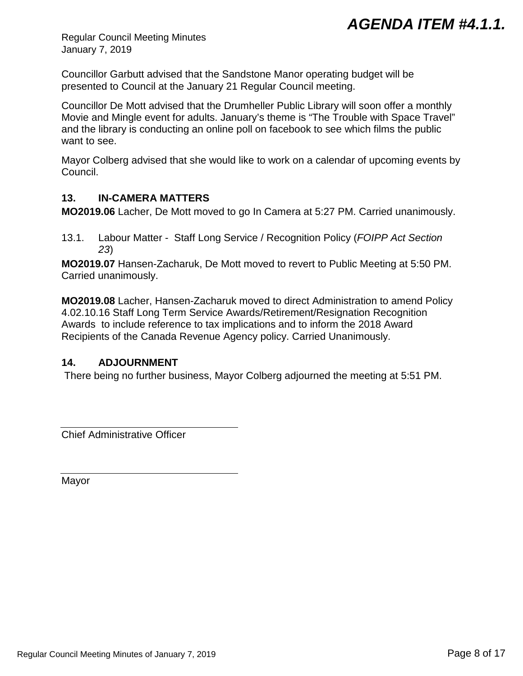Regular Council Meeting Minutes January 7, 2019

Councillor Garbutt advised that the Sandstone Manor operating budget will be presented to Council at the January 21 Regular Council meeting.

Councillor De Mott advised that the Drumheller Public Library will soon offer a monthly Movie and Mingle event for adults. January's theme is "The Trouble with Space Travel" and the library is conducting an online poll on facebook to see which films the public want to see.

Mayor Colberg advised that she would like to work on a calendar of upcoming events by Council.

## **13. IN-CAMERA MATTERS**

**MO2019.06** Lacher, De Mott moved to go In Camera at 5:27 PM. Carried unanimously.

13.1. Labour Matter - Staff Long Service / Recognition Policy (*FOIPP Act Section 23*)

**MO2019.07** Hansen-Zacharuk, De Mott moved to revert to Public Meeting at 5:50 PM. Carried unanimously.

**MO2019.08** Lacher, Hansen-Zacharuk moved to direct Administration to amend Policy 4.02.10.16 Staff Long Term Service Awards/Retirement/Resignation Recognition Awards to include reference to tax implications and to inform the 2018 Award Recipients of the Canada Revenue Agency policy. Carried Unanimously.

## **14. ADJOURNMENT**

There being no further business, Mayor Colberg adjourned the meeting at 5:51 PM.

Chief Administrative Officer

Mayor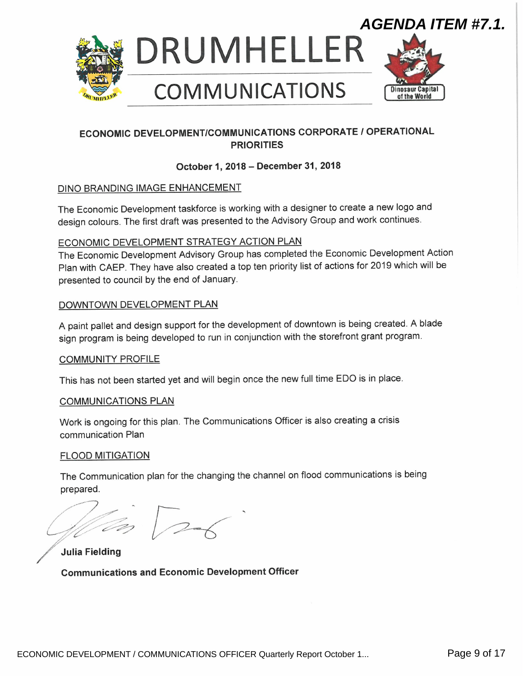<span id="page-8-0"></span>

## ECONOMIC DEVELOPMENT/COMMUNICATIONS CORPORATE / OPERATIONAL **PRIORITIES**

### October 1, 2018 — December 31, 2018

#### DINO BRANDING IMAGE ENHANCEMENT

The Economic Development taskforce is working with a designer to create a new logo and design colours. The first draft was presented to the Advisory Group and work continues.

#### ECONOMIC DEVELOPMENT STRATEGY ACTION PLAN

The Economic Development Advisory Group has completed the Economic Development Action Plan with CAEP. They have also created a top ten priority list of actions for 2019 which will be presented to council by the end of January.

## DOWNTOWN DEVELOPMENT PLAN

A paint pallet and design support for the development of downtown is being created. A blade sign program is being developed to run in conjunction with the storefront grant program.

#### **COMMUNITY PROFILE**

This has not been started yet and will begin once the new full time EDO is in place.

#### COMMUNICATIONS PLAN

Work is ongoing for this plan. The Communications Officer is also creating a crisis communication Plan

#### FLOOD MITIGATION

The Communication plan for the changing the channel on flood communications is being prepared.

 $\sqrt{2\pi}$ 

Julia Fielding

Communications and Economic Development Officer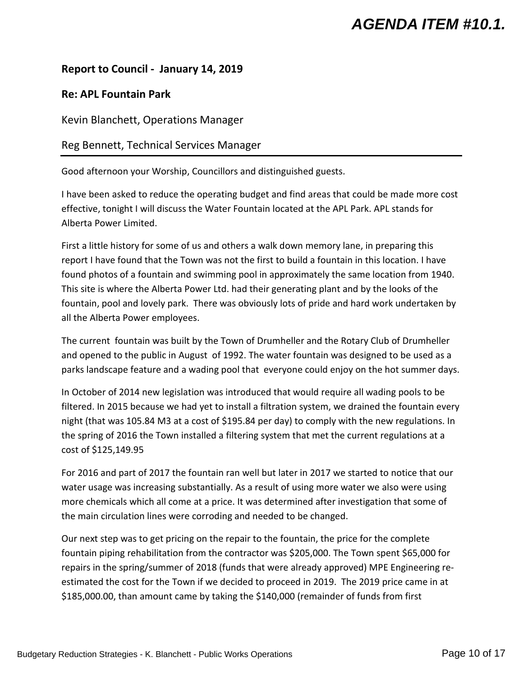# *AGENDA ITEM #10.1.*

## <span id="page-9-0"></span>**Report to Council - January 14, 2019**

## **Re: APL Fountain Park**

Kevin Blanchett, Operations Manager

Reg Bennett, Technical Services Manager

Good afternoon your Worship, Councillors and distinguished guests.

I have been asked to reduce the operating budget and find areas that could be made more cost effective, tonight I will discuss the Water Fountain located at the APL Park. APL stands for Alberta Power Limited.

First a little history for some of us and others a walk down memory lane, in preparing this report I have found that the Town was not the first to build a fountain in this location. I have found photos of a fountain and swimming pool in approximately the same location from 1940. This site is where the Alberta Power Ltd. had their generating plant and by the looks of the fountain, pool and lovely park. There was obviously lots of pride and hard work undertaken by all the Alberta Power employees.

The current fountain was built by the Town of Drumheller and the Rotary Club of Drumheller and opened to the public in August of 1992. The water fountain was designed to be used as a parks landscape feature and a wading pool that everyone could enjoy on the hot summer days.

In October of 2014 new legislation was introduced that would require all wading pools to be filtered. In 2015 because we had yet to install a filtration system, we drained the fountain every night (that was 105.84 M3 at a cost of \$195.84 per day) to comply with the new regulations. In the spring of 2016 the Town installed a filtering system that met the current regulations at a cost of \$125,149.95

For 2016 and part of 2017 the fountain ran well but later in 2017 we started to notice that our water usage was increasing substantially. As a result of using more water we also were using more chemicals which all come at a price. It was determined after investigation that some of the main circulation lines were corroding and needed to be changed.

Our next step was to get pricing on the repair to the fountain, the price for the complete fountain piping rehabilitation from the contractor was \$205,000. The Town spent \$65,000 for repairs in the spring/summer of 2018 (funds that were already approved) MPE Engineering reestimated the cost for the Town if we decided to proceed in 2019. The 2019 price came in at \$185,000.00, than amount came by taking the \$140,000 (remainder of funds from first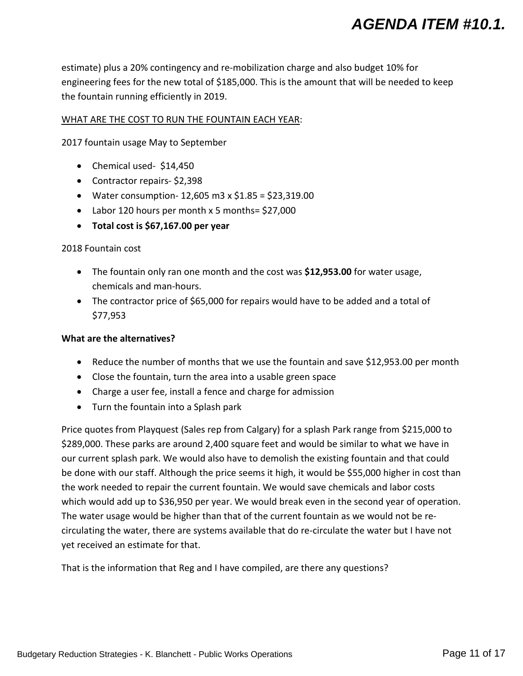# *AGENDA ITEM #10.1.*

estimate) plus a 20% contingency and re-mobilization charge and also budget 10% for engineering fees for the new total of \$185,000. This is the amount that will be needed to keep the fountain running efficiently in 2019.

#### WHAT ARE THE COST TO RUN THE FOUNTAIN EACH YEAR:

2017 fountain usage May to September

- Chemical used- \$14,450
- Contractor repairs- \$2,398
- Water consumption- 12,605 m3 x \$1.85 = \$23,319.00
- Labor 120 hours per month x 5 months= \$27,000
- **Total cost is \$67,167.00 per year**

#### 2018 Fountain cost

- The fountain only ran one month and the cost was **\$12,953.00** for water usage, chemicals and man-hours.
- The contractor price of \$65,000 for repairs would have to be added and a total of \$77,953

#### **What are the alternatives?**

- Reduce the number of months that we use the fountain and save \$12,953.00 per month
- Close the fountain, turn the area into a usable green space
- Charge a user fee, install a fence and charge for admission
- Turn the fountain into a Splash park

Price quotes from Playquest (Sales rep from Calgary) for a splash Park range from \$215,000 to \$289,000. These parks are around 2,400 square feet and would be similar to what we have in our current splash park. We would also have to demolish the existing fountain and that could be done with our staff. Although the price seems it high, it would be \$55,000 higher in cost than the work needed to repair the current fountain. We would save chemicals and labor costs which would add up to \$36,950 per year. We would break even in the second year of operation. The water usage would be higher than that of the current fountain as we would not be recirculating the water, there are systems available that do re-circulate the water but I have not yet received an estimate for that.

That is the information that Reg and I have compiled, are there any questions?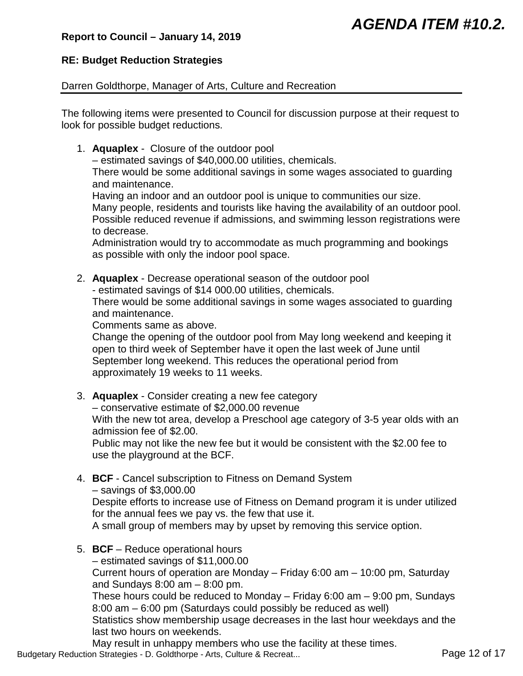## *AGENDA ITEM #10.2.*

## <span id="page-11-0"></span>**Report to Council – January 14, 2019**

## **RE: Budget Reduction Strategies**

#### Darren Goldthorpe, Manager of Arts, Culture and Recreation

The following items were presented to Council for discussion purpose at their request to look for possible budget reductions.

1. **Aquaplex** - Closure of the outdoor pool

– estimated savings of \$40,000.00 utilities, chemicals.

There would be some additional savings in some wages associated to guarding and maintenance.

Having an indoor and an outdoor pool is unique to communities our size. Many people, residents and tourists like having the availability of an outdoor pool. Possible reduced revenue if admissions, and swimming lesson registrations were to decrease.

Administration would try to accommodate as much programming and bookings as possible with only the indoor pool space.

2. **Aquaplex** - Decrease operational season of the outdoor pool

- estimated savings of \$14 000.00 utilities, chemicals.

There would be some additional savings in some wages associated to guarding and maintenance.

Comments same as above.

Change the opening of the outdoor pool from May long weekend and keeping it open to third week of September have it open the last week of June until September long weekend. This reduces the operational period from approximately 19 weeks to 11 weeks.

3. **Aquaplex** - Consider creating a new fee category

– conservative estimate of \$2,000.00 revenue

With the new tot area, develop a Preschool age category of 3-5 year olds with an admission fee of \$2.00.

Public may not like the new fee but it would be consistent with the \$2.00 fee to use the playground at the BCF.

4. **BCF** - Cancel subscription to Fitness on Demand System – savings of \$3,000.00

Despite efforts to increase use of Fitness on Demand program it is under utilized for the annual fees we pay vs. the few that use it.

A small group of members may by upset by removing this service option.

5. **BCF** – Reduce operational hours

– estimated savings of \$11,000.00

Current hours of operation are Monday – Friday 6:00 am – 10:00 pm, Saturday and Sundays  $8:00$  am  $-8:00$  pm.

These hours could be reduced to Monday – Friday 6:00 am – 9:00 pm, Sundays 8:00 am – 6:00 pm (Saturdays could possibly be reduced as well)

Statistics show membership usage decreases in the last hour weekdays and the last two hours on weekends.

May result in unhappy members who use the facility at these times. Budgetary Reduction Strategies - D. Goldthorpe - Arts, Culture & Recreat... Page 12 of 17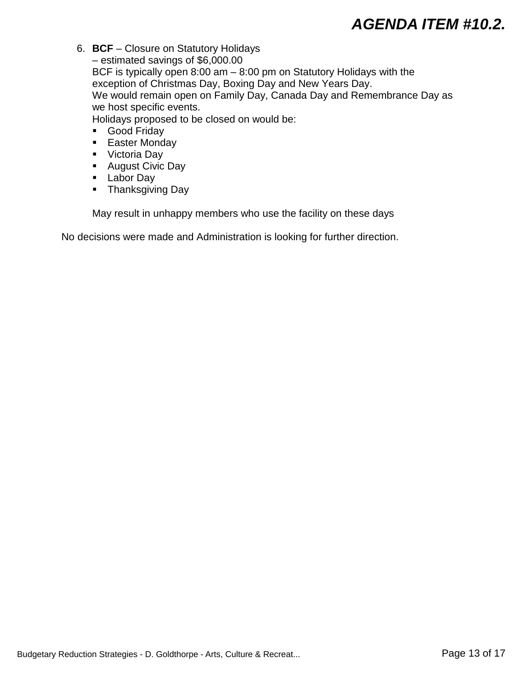# *AGENDA ITEM #10.2.*

- 6. **BCF** Closure on Statutory Holidays – estimated savings of \$6,000.00 BCF is typically open 8:00 am – 8:00 pm on Statutory Holidays with the exception of Christmas Day, Boxing Day and New Years Day. We would remain open on Family Day, Canada Day and Remembrance Day as we host specific events. Holidays proposed to be closed on would be:
	- Good Friday
	- **Easter Monday**
	- **Victoria Day**
	- August Civic Day
	- **Labor Day**
	- **Thanksgiving Day**

May result in unhappy members who use the facility on these days

No decisions were made and Administration is looking for further direction.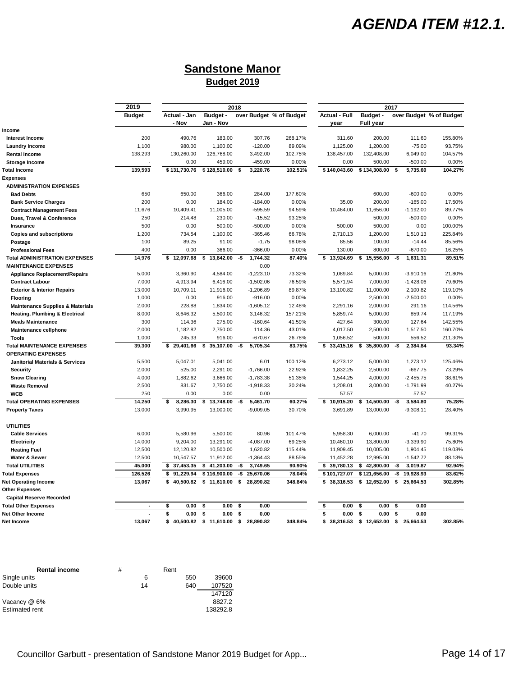## *AGENDA ITEM #12.1.*

## **Sandstone Manor Budget 2019**

<span id="page-13-0"></span>

|                                             | 2019          | 2018                  |                       |     | 2017        |                         |                              |                                     |     |             |                         |
|---------------------------------------------|---------------|-----------------------|-----------------------|-----|-------------|-------------------------|------------------------------|-------------------------------------|-----|-------------|-------------------------|
|                                             | <b>Budget</b> | Actual - Jan<br>- Nov | Budget -<br>Jan - Nov |     |             | over Budget % of Budget | <b>Actual - Full</b><br>year | <b>Budget -</b><br><b>Full year</b> |     |             | over Budget % of Budget |
| Income                                      |               |                       |                       |     |             |                         |                              |                                     |     |             |                         |
| Interest Income                             | 200           | 490.76                | 183.00                |     | 307.76      | 268.17%                 | 311.60                       | 200.00                              |     | 111.60      | 155.80%                 |
| Laundry Income                              | 1,100         | 980.00                | 1,100.00              |     | $-120.00$   | 89.09%                  | 1,125.00                     | 1,200.00                            |     | $-75.00$    | 93.75%                  |
| <b>Rental Income</b>                        | 138,293       | 130,260.00            | 126,768.00            |     | 3,492.00    | 102.75%                 | 138,457.00                   | 132,408.00                          |     | 6,049.00    | 104.57%                 |
| <b>Storage Income</b>                       |               | 0.00                  | 459.00                |     | $-459.00$   | 0.00%                   | 0.00                         | 500.00                              |     | $-500.00$   | 0.00%                   |
| <b>Total Income</b>                         | 139,593       | \$131,730.76          | \$128,510.00          | -\$ | 3,220.76    | 102.51%                 | \$140,043.60                 | \$134,308.00                        | \$  | 5,735.60    | 104.27%                 |
| <b>Expenses</b>                             |               |                       |                       |     |             |                         |                              |                                     |     |             |                         |
| <b>ADMINISTRATION EXPENSES</b>              |               |                       |                       |     |             |                         |                              |                                     |     |             |                         |
| <b>Bad Debts</b>                            | 650           | 650.00                | 366.00                |     | 284.00      | 177.60%                 |                              | 600.00                              |     | $-600.00$   | 0.00%                   |
| <b>Bank Service Charges</b>                 | 200           | 0.00                  | 184.00                |     | $-184.00$   | 0.00%                   | 35.00                        | 200.00                              |     | $-165.00$   | 17.50%                  |
| <b>Contract Management Fees</b>             | 11,676        | 10,409.41             | 11,005.00             |     | $-595.59$   | 94.59%                  | 10,464.00                    | 11,656.00                           |     | $-1,192.00$ | 89.77%                  |
| Dues, Travel & Conference                   | 250           | 214.48                | 230.00                |     | $-15.52$    | 93.25%                  |                              | 500.00                              |     | $-500.00$   | 0.00%                   |
| Insurance                                   | 500           | 0.00                  | 500.00                |     | $-500.00$   | 0.00%                   | 500.00                       | 500.00                              |     | 0.00        | 100.00%                 |
| <b>Copies and subscriptions</b>             | 1,200         | 734.54                | 1,100.00              |     | $-365.46$   | 66.78%                  | 2,710.13                     | 1,200.00                            |     | 1,510.13    | 225.84%                 |
| Postage                                     | 100           | 89.25                 | 91.00                 |     | $-1.75$     | 98.08%                  | 85.56                        | 100.00                              |     | $-14.44$    | 85.56%                  |
| <b>Professional Fees</b>                    | 400           | 0.00                  | 366.00                |     | $-366.00$   | 0.00%                   | 130.00                       | 800.00                              |     | $-670.00$   | 16.25%                  |
| <b>Total ADMINISTRATION EXPENSES</b>        | 14,976        | \$12,097.68           | \$<br>13,842.00       | -\$ | 1,744.32    | 87.40%                  | \$13,924.69                  | \$<br>15,556.00                     | -\$ | 1,631.31    | 89.51%                  |
| <b>MAINTENANCE EXPENSES</b>                 |               |                       |                       |     | 0.00        |                         |                              |                                     |     |             |                         |
| <b>Appliance Replacement/Repairs</b>        | 5,000         | 3,360.90              | 4,584.00              |     | $-1,223.10$ | 73.32%                  | 1,089.84                     | 5,000.00                            |     | $-3,910.16$ | 21.80%                  |
| <b>Contract Labour</b>                      | 7,000         | 4,913.94              | 6,416.00              |     | $-1,502.06$ | 76.59%                  | 5,571.94                     | 7,000.00                            |     | $-1,428.06$ | 79.60%                  |
| <b>Exterior &amp; Interior Repairs</b>      | 13,000        | 10,709.11             | 11,916.00             |     | $-1,206.89$ | 89.87%                  | 13,100.82                    | 11,000.00                           |     | 2,100.82    | 119.10%                 |
| <b>Flooring</b>                             | 1,000         | 0.00                  | 916.00                |     | $-916.00$   | 0.00%                   |                              | 2,500.00                            |     | $-2,500.00$ | 0.00%                   |
| <b>Maintenance Supplies &amp; Materials</b> | 2,000         | 228.88                | 1,834.00              |     | $-1,605.12$ | 12.48%                  | 2,291.16                     | 2,000.00                            |     | 291.16      | 114.56%                 |
| <b>Heating, Plumbing &amp; Electrical</b>   | 8,000         | 8,646.32              | 5,500.00              |     | 3,146.32    | 157.21%                 | 5,859.74                     | 5,000.00                            |     | 859.74      | 117.19%                 |
| <b>Meals Maintenance</b>                    | 300           | 114.36                | 275.00                |     | $-160.64$   | 41.59%                  | 427.64                       | 300.00                              |     | 127.64      | 142.55%                 |
| Maintenance cellphone                       | 2,000         | 1,182.82              | 2,750.00              |     | 114.36      | 43.01%                  | 4,017.50                     | 2,500.00                            |     | 1,517.50    | 160.70%                 |
| <b>Tools</b>                                | 1,000         | 245.33                | 916.00                |     | $-670.67$   | 26.78%                  | 1,056.52                     | 500.00                              |     | 556.52      | 211.30%                 |
| <b>Total MAINTENANCE EXPENSES</b>           | 39,300        | \$29,401.66           | \$<br>35,107.00       | -\$ | 5,705.34    | 83.75%                  | \$33,415.16                  | \$<br>35,800.00                     | -\$ | 2,384.84    | 93.34%                  |
| <b>OPERATING EXPENSES</b>                   |               |                       |                       |     |             |                         |                              |                                     |     |             |                         |
| <b>Janitorial Materials &amp; Services</b>  | 5,500         | 5,047.01              | 5,041.00              |     | 6.01        | 100.12%                 | 6,273.12                     | 5,000.00                            |     | 1,273.12    | 125.46%                 |
| Security                                    | 2,000         | 525.00                | 2,291.00              |     | $-1,766.00$ | 22.92%                  | 1,832.25                     | 2,500.00                            |     | $-667.75$   | 73.29%                  |
| <b>Snow Clearing</b>                        | 4,000         | 1,882.62              | 3,666.00              |     | $-1,783.38$ | 51.35%                  | 1,544.25                     | 4,000.00                            |     | $-2,455.75$ | 38.61%                  |
| <b>Waste Removal</b>                        | 2,500         | 831.67                | 2,750.00              |     | $-1,918.33$ | 30.24%                  | 1,208.01                     | 3,000.00                            |     | $-1,791.99$ | 40.27%                  |
| <b>WCB</b>                                  | 250           | 0.00                  | 0.00                  |     | 0.00        |                         | 57.57                        |                                     |     | 57.57       |                         |
| <b>Total OPERATING EXPENSES</b>             | 14,250        | 8,286.30<br>\$        | 13,748.00<br>\$       | -\$ | 5,461.70    | 60.27%                  | 10,915.20<br>\$              | 14,500.00<br>\$                     | -\$ | 3,584.80    | 75.28%                  |
| <b>Property Taxes</b>                       | 13,000        | 3,990.95              | 13,000.00             |     | $-9,009.05$ | 30.70%                  | 3,691.89                     | 13,000.00                           |     | $-9,308.11$ | 28.40%                  |
|                                             |               |                       |                       |     |             |                         |                              |                                     |     |             |                         |
| <b>UTILITIES</b>                            |               |                       |                       |     |             |                         |                              |                                     |     |             |                         |
| <b>Cable Services</b>                       | 6,000         | 5,580.96              | 5,500.00              |     | 80.96       | 101.47%                 | 5,958.30                     | 6,000.00                            |     | $-41.70$    | 99.31%                  |
| <b>Electricity</b>                          | 14,000        | 9,204.00              | 13,291.00             |     | $-4,087.00$ | 69.25%                  | 10,460.10                    | 13,800.00                           |     | $-3,339.90$ | 75.80%                  |
| <b>Heating Fuel</b>                         | 12,500        | 12,120.82             | 10,500.00             |     | 1,620.82    | 115.44%                 | 11,909.45                    | 10,005.00                           |     | 1,904.45    | 119.03%                 |
| Water & Sewer                               | 12,500        | 10,547.57             | 11,912.00             |     | $-1,364.43$ | 88.55%                  | 11,452.28                    | 12,995.00                           |     | $-1,542.72$ | 88.13%                  |
| <b>Total UTILITIES</b>                      | 45,000        | \$37,453.35           | \$<br>41,203.00       | -\$ | 3,749.65    | 90.90%                  | \$39,780.13                  | 42,800.00<br>\$                     | -\$ | 3,019.87    | 92.94%                  |
| <b>Total Expenses</b>                       | 126,526       | 91,229.94<br>\$       | \$116,900.00          | -\$ | 25,670.06   | 78.04%                  | \$101,727.07                 | \$121,656.00                        | -\$ | 19,928.93   | 83.62%                  |
| <b>Net Operating Income</b>                 | 13,067        | \$40,500.82           | \$11,610.00           | \$  | 28,890.82   | 348.84%                 | \$38,316.53                  | \$12,652.00                         | \$  | 25,664.53   | 302.85%                 |
| <b>Other Expenses</b>                       |               |                       |                       |     |             |                         |                              |                                     |     |             |                         |
| <b>Capital Reserve Recorded</b>             |               |                       |                       |     |             |                         |                              |                                     |     |             |                         |
| <b>Total Other Expenses</b>                 | Ĭ.            | \$<br>0.00            | \$<br>0.00            | \$  | 0.00        |                         | \$<br>0.00                   | \$<br>0.00                          | \$  | 0.00        |                         |
| Net Other Income                            |               | \$<br>0.00            | \$<br>0.00            | \$  | 0.00        |                         | \$<br>0.00                   | \$<br>0.00                          | \$  | 0.00        |                         |
| Net Income                                  | 13,067        | 40,500.82<br>\$       | \$<br>11,610.00       | \$  | 28,890.82   | 348.84%                 | \$<br>38,316.53              | \$<br>12,652.00                     | \$  | 25,664.53   | 302.85%                 |

| <b>Rental income</b> | # |    | Rent |     |          |
|----------------------|---|----|------|-----|----------|
| Single units         |   | 6  |      | 550 | 39600    |
| Double units         |   | 14 |      | 640 | 107520   |
|                      |   |    |      |     | 147120   |
| Vacancy @ 6%         |   |    |      |     | 8827.2   |
| Estimated rent       |   |    |      |     | 138292.8 |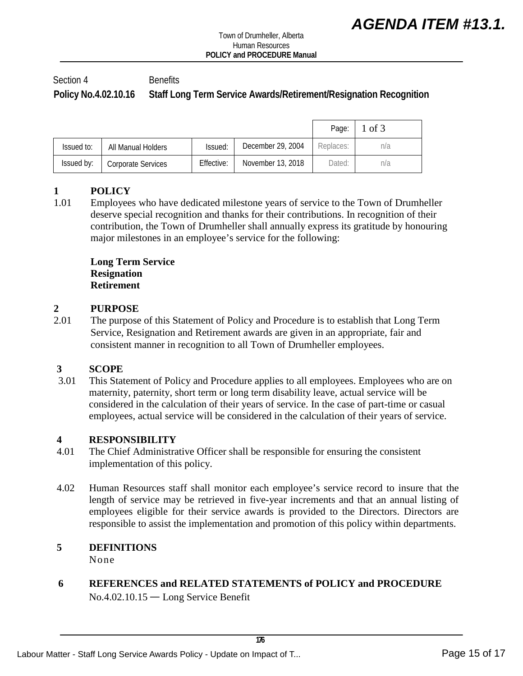## <span id="page-14-0"></span>Section 4 Benefits **Policy No.4.02.10.16 Staff Long Term Service Awards/Retirement/Resignation Recognition**

|            |                    |            |                   | Page:     | 1 of 3 |
|------------|--------------------|------------|-------------------|-----------|--------|
| Issued to: | All Manual Holders | Issued:    | December 29, 2004 | Replaces: | n/a    |
| Issued by: | Corporate Services | Effective: | November 13, 2018 | Dated:    | n/a    |

## **1 POLICY**

1.01 Employees who have dedicated milestone years of service to the Town of Drumheller deserve special recognition and thanks for their contributions. In recognition of their contribution, the Town of Drumheller shall annually express its gratitude by honouring major milestones in an employee's service for the following:

**Long Term Service Resignation Retirement** 

# 2 **PURPOSE**<br>2.01 The purpose

The purpose of this Statement of Policy and Procedure is to establish that Long Term Service, Resignation and Retirement awards are given in an appropriate, fair and consistent manner in recognition to all Town of Drumheller employees.

# **3 SCOPE**

This Statement of Policy and Procedure applies to all employees. Employees who are on maternity, paternity, short term or long term disability leave, actual service will be considered in the calculation of their years of service. In the case of part-time or casual employees, actual service will be considered in the calculation of their years of service.

#### **4 RESPONSIBILITY**

- 4.01 The Chief Administrative Officer shall be responsible for ensuring the consistent implementation of this policy.
- 4.02 Human Resources staff shall monitor each employee's service record to insure that the length of service may be retrieved in five-year increments and that an annual listing of employees eligible for their service awards is provided to the Directors. Directors are responsible to assist the implementation and promotion of this policy within departments.

## **5 DEFINITIONS**

None

**6 REFERENCES and RELATED STATEMENTS of POLICY and PROCEDURE** No.4.02.10.15 — Long Service Benefit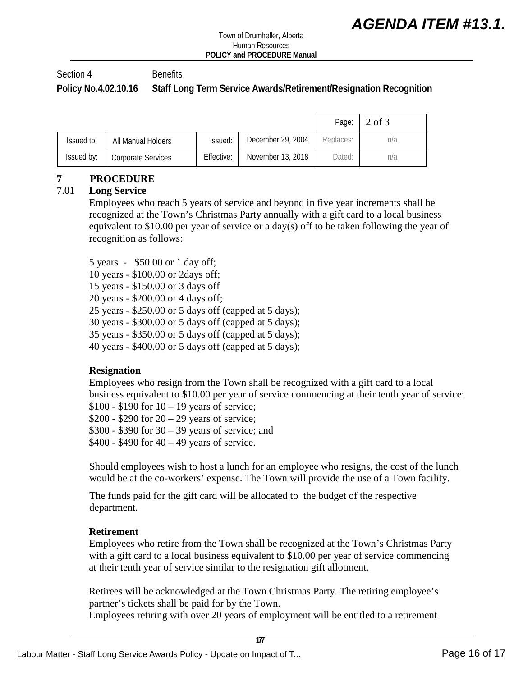Section 4 Benefits

**Policy No.4.02.10.16 Staff Long Term Service Awards/Retirement/Resignation Recognition**

|            |                    |            |                   | Page:     | 2 of 3 |
|------------|--------------------|------------|-------------------|-----------|--------|
| Issued to: | All Manual Holders | Issued:    | December 29, 2004 | Replaces: | n/a    |
| Issued by: | Corporate Services | Effective: | November 13, 2018 | Dated:    | n/a    |

## **7 PROCEDURE**

## 7.01 **Long Service**

Employees who reach 5 years of service and beyond in five year increments shall be recognized at the Town's Christmas Party annually with a gift card to a local business equivalent to \$10.00 per year of service or a day(s) off to be taken following the year of recognition as follows:

5 years - \$50.00 or 1 day off;

10 years - \$100.00 or 2days off;

15 years - \$150.00 or 3 days off

20 years - \$200.00 or 4 days off;

25 years - \$250.00 or 5 days off (capped at 5 days);

30 years - \$300.00 or 5 days off (capped at 5 days);

35 years - \$350.00 or 5 days off (capped at 5 days);

40 years - \$400.00 or 5 days off (capped at 5 days);

## **Resignation**

Employees who resign from the Town shall be recognized with a gift card to a local business equivalent to \$10.00 per year of service commencing at their tenth year of service:

 $$100 - $190$  for  $10 - 19$  years of service;

 $$200 - $290$  for  $20 - 29$  years of service;

\$300 - \$390 for 30 – 39 years of service; and

 $$400 - $490$  for  $40 - 49$  years of service.

Should employees wish to host a lunch for an employee who resigns, the cost of the lunch would be at the co-workers' expense. The Town will provide the use of a Town facility.

The funds paid for the gift card will be allocated to the budget of the respective department.

## **Retirement**

Employees who retire from the Town shall be recognized at the Town's Christmas Party with a gift card to a local business equivalent to \$10.00 per year of service commencing at their tenth year of service similar to the resignation gift allotment.

Retirees will be acknowledged at the Town Christmas Party. The retiring employee's partner's tickets shall be paid for by the Town. Employees retiring with over 20 years of employment will be entitled to a retirement